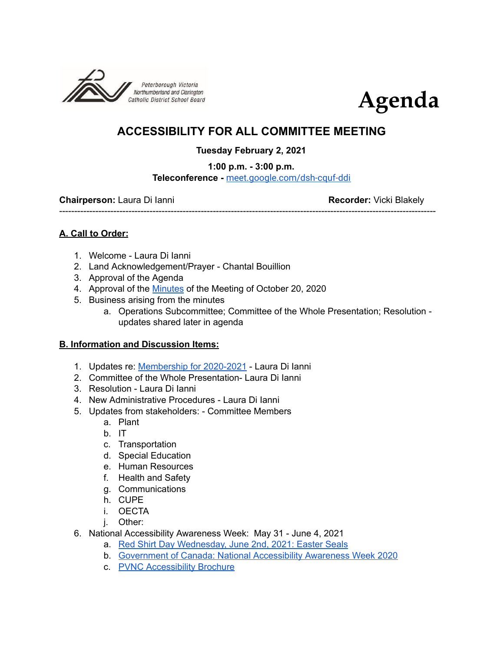



## **ACCESSIBILITY FOR ALL COMMITTEE MEETING**

## **Tuesday February 2, 2021**

**1:00 p.m. - 3:00 p.m.**

**Teleconference -** [meet.google.com/dsh-cquf-ddi](http://meet.google.com/dsh-cquf-ddi)

-----------------------------------------------------------------------------------------------------------------------------

**Chairperson:** Laura Di Ianni **Recorder:** Vicki Blakely

**A. Call to Order:**

- 1. Welcome Laura Di Ianni
- 2. Land Acknowledgement/Prayer Chantal Bouillion
- 3. Approval of the Agenda
- 4. Approval of the [Minutes](https://docs.google.com/document/d/1OjcToo23KiokLipehonV19V8Iauh7KiaV9Y1EwAmw94/edit) of the Meeting of October 20, 2020
- 5. Business arising from the minutes
	- a. Operations Subcommittee; Committee of the Whole Presentation; Resolution updates shared later in agenda

## **B. Information and Discussion Items:**

- 1. Updates re: [Membership](https://docs.google.com/document/d/1qyCf43hqxekzhU6C9aRKoaSor-FDeQX7zm42zxChJAU/edit#) for 2020-2021 Laura Di Ianni
- 2. Committee of the Whole Presentation- Laura Di Ianni
- 3. Resolution Laura Di Ianni
- 4. New Administrative Procedures Laura Di Ianni
- 5. Updates from stakeholders: Committee Members
	- a. Plant
	- b. IT
	- c. Transportation
	- d. Special Education
	- e. Human Resources
	- f. Health and Safety
	- g. Communications
	- h. CUPE
	- i. OECTA
	- j. Other:
- 6. National Accessibility Awareness Week: May 31 June 4, 2021
	- a. Red Shirt Day [Wednesday,](https://easterseals.ca/english/redshirtday-about/) June 2nd, 2021: Easter Seals
	- b. [Government](https://www.canada.ca/en/employment-social-development/campaigns/national-accessability-week.html) of Canada: National Accessibility Awareness Week 2020
	- c. PVNC [Accessibility](https://www.pvnccdsb.on.ca/wp-content/uploads/2019/02/Accessibility-Brochure-2018.pdf) Brochure